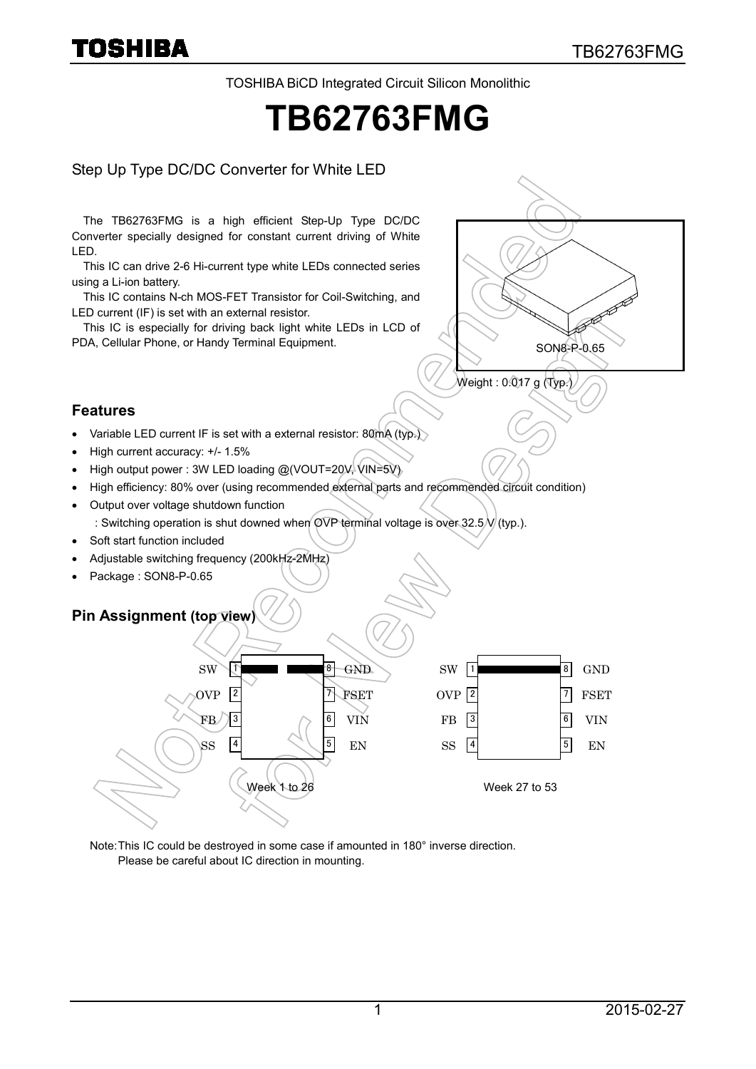TOSHIBA BiCD Integrated Circuit Silicon Monolithic

# **TB62763FMG**

#### Step Up Type DC/DC Converter for White LED

The TB62763FMG is a high efficient Step-Up Type DC/DC Converter specially designed for constant current driving of White LED.

This IC can drive 2-6 Hi-current type white LEDs connected series using a Li-ion battery.

This IC contains N-ch MOS-FET Transistor for Coil-Switching, and LED current (IF) is set with an external resistor.

This IC is especially for driving back light white LEDs in LCD of PDA, Cellular Phone, or Handy Terminal Equipment.



- Variable LED current IF is set with a external resistor: 80mA (typ.)
- High current accuracy: +/- 1.5%

**Features**

- High output power : 3W LED loading @(VOUT=20V, VIN=5V)
- High efficiency: 80% over (using recommended external parts and recommended circuit condition)
- Output over voltage shutdown function
	- : Switching operation is shut downed when OVP terminal voltage is over 32.5 $\mathcal{N}$  (typ.).
- Soft start function included
- Adjustable switching frequency (200kHz-2MHz)
- Package: SON8-P-0.65

#### **Pin Assignment (top view)**



Note:This IC could be destroyed in some case if amounted in 180° inverse direction. Please be careful about IC direction in mounting.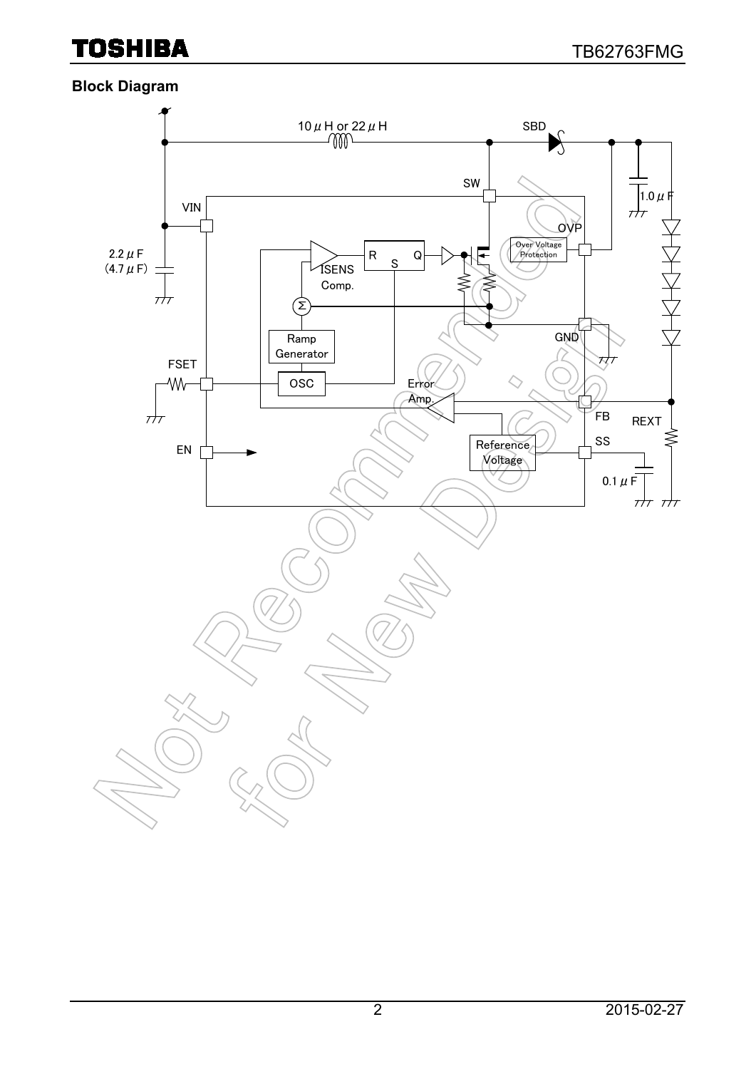#### **Block Diagram**

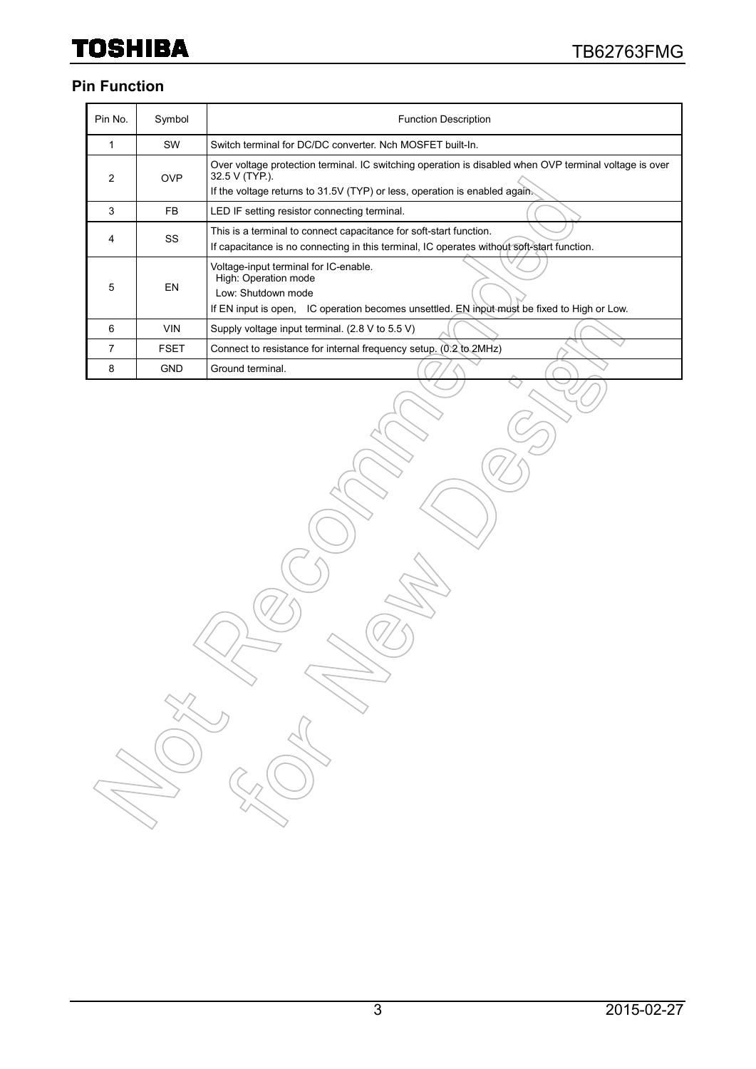#### **Pin Function**

| Pin No.        | Symbol      | <b>Function Description</b>                                                                                                                                                                            |  |  |  |  |
|----------------|-------------|--------------------------------------------------------------------------------------------------------------------------------------------------------------------------------------------------------|--|--|--|--|
|                | <b>SW</b>   | Switch terminal for DC/DC converter. Nch MOSFET built-In.                                                                                                                                              |  |  |  |  |
| 2              | <b>OVP</b>  | Over voltage protection terminal. IC switching operation is disabled when OVP terminal voltage is over<br>32.5 V (TYP.).<br>If the voltage returns to 31.5V (TYP) or less, operation is enabled again. |  |  |  |  |
| 3              | FB.         | LED IF setting resistor connecting terminal.                                                                                                                                                           |  |  |  |  |
| 4              | <b>SS</b>   | This is a terminal to connect capacitance for soft-start function.<br>If capacitance is no connecting in this terminal, IC operates without soft-start function.                                       |  |  |  |  |
| 5              | <b>EN</b>   | Voltage-input terminal for IC-enable.<br>High: Operation mode<br>Low: Shutdown mode<br>If EN input is open, IC operation becomes unsettled. EN input must be fixed to High or Low.                     |  |  |  |  |
| 6              | <b>VIN</b>  | Supply voltage input terminal. (2.8 V to 5.5 V)                                                                                                                                                        |  |  |  |  |
| $\overline{7}$ | <b>FSET</b> | Connect to resistance for internal frequency setup. (0.2 to 2MHz)                                                                                                                                      |  |  |  |  |
| 8              | <b>GND</b>  | Ground terminal.                                                                                                                                                                                       |  |  |  |  |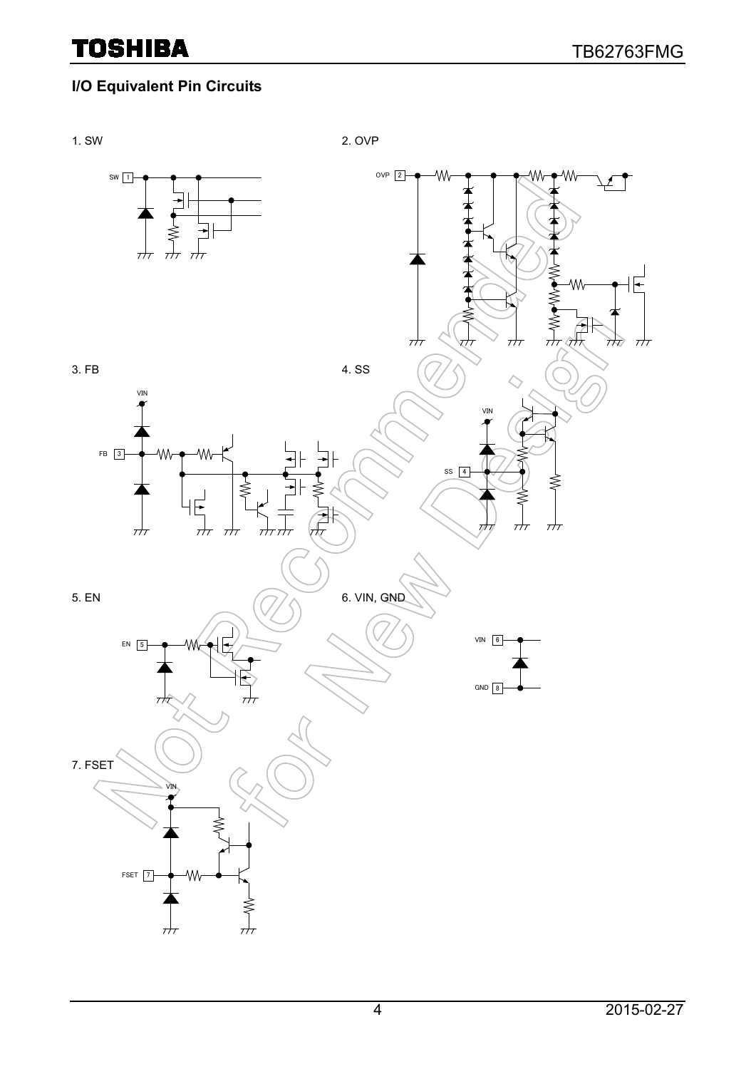### **I/O Equivalent Pin Circuits**

1. SW 2. OVP

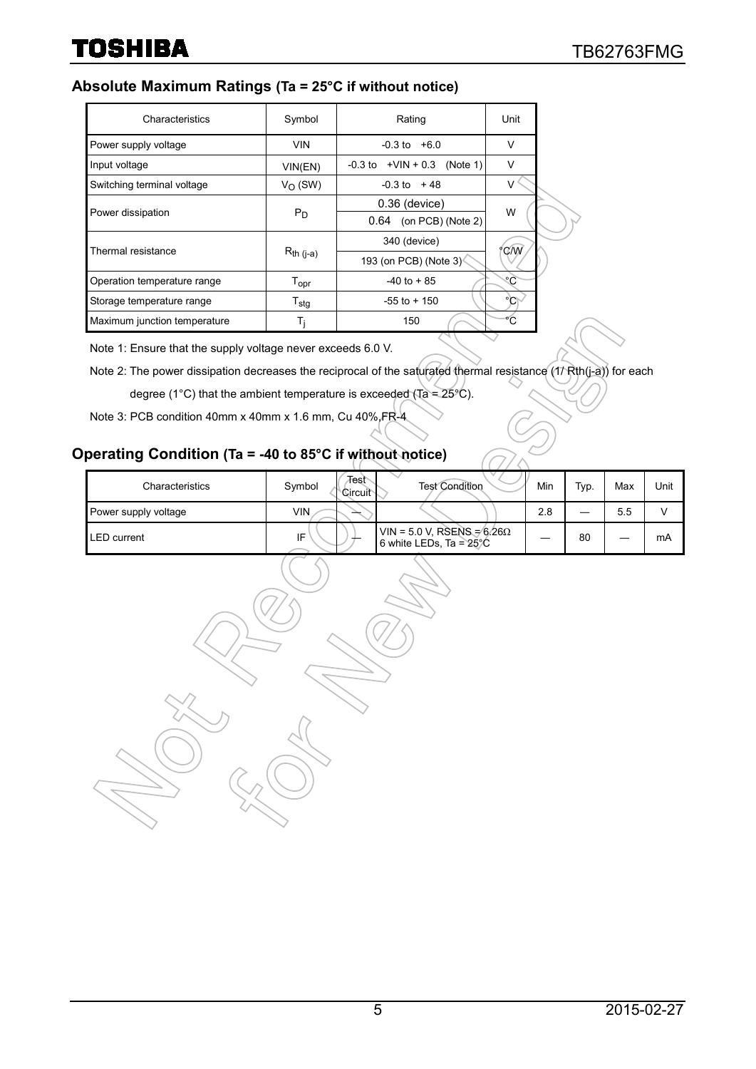#### **Absolute Maximum Ratings (Ta = 25°C if without notice)**

| Characteristics              | Symbol                      | Rating                             | Unit   |
|------------------------------|-----------------------------|------------------------------------|--------|
| Power supply voltage         | <b>VIN</b>                  | $-0.3$ to $+6.0$                   | V      |
| Input voltage                | VIN(EN)                     | $-0.3$ to $+VIN + 0.3$<br>(Note 1) | $\vee$ |
| Switching terminal voltage   | $V_{\Omega}$ (SW)           | $-0.3$ to $+48$                    | V      |
|                              |                             | $0.36$ (device)                    |        |
| Power dissipation            | $P_D$                       | 0.64<br>(on PCB) (Note 2)          | W      |
| Thermal resistance           |                             | 340 (device)                       | °C/W   |
|                              | $R_{th}$ (j-a)              | 193 (on PCB) (Note 3)              |        |
| Operation temperature range  | $\mathsf{T}_{\mathsf{opr}}$ | $-40$ to $+85$                     | ೀ      |
| Storage temperature range    | $T_{\sf stg}$               | $-55$ to $+150$                    | °C     |
| Maximum junction temperature | Ti                          | 150                                |        |

Note 1: Ensure that the supply voltage never exceeds 6.0 V.

Note 2: The power dissipation decreases the reciprocal of the saturated thermal resistance (17 Rth(j-a)) for each

degree (1°C) that the ambient temperature is exceeded (Ta =  $25^{\circ}$ C).

Note 3: PCB condition 40mm x 40mm x 1.6 mm, Cu 40%, FR-4

#### **Operating Condition (Ta = -40 to 85°C if without notice)**

| Characteristics      | Test<br>Symbol<br>∖Circuit | <b>Test Condition</b>                                                 | Min | Typ. | Max | Unit |
|----------------------|----------------------------|-----------------------------------------------------------------------|-----|------|-----|------|
| Power supply voltage | VIN                        |                                                                       | 2.8 |      | 5.5 |      |
| LED current          | IF                         | VIN = 5.0 V, RSENS = $6.26\Omega$<br>6 white LEDs, Ta = $25\degree$ C |     | 80   | _   | mA   |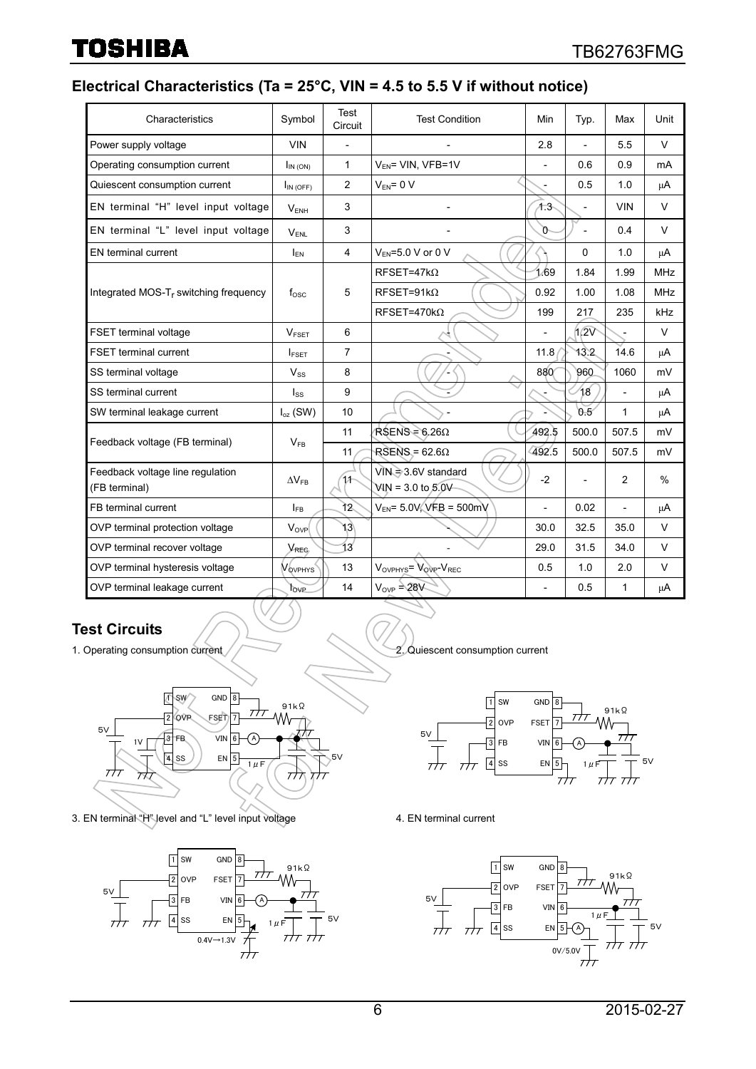#### **Electrical Characteristics (Ta = 25°C, VIN = 4.5 to 5.5 V if without notice)**

| Characteristics                                   | Symbol                     | Test<br>Circuit | <b>Test Condition</b>                                 | Min            | Typ.                     | Max                      | Unit          |
|---------------------------------------------------|----------------------------|-----------------|-------------------------------------------------------|----------------|--------------------------|--------------------------|---------------|
| Power supply voltage                              | <b>VIN</b>                 | ÷,              |                                                       | 2.8            | $\overline{a}$           | 5.5                      | $\vee$        |
| Operating consumption current                     | $I_{IN(ON)}$               | $\mathbf{1}$    | V <sub>EN</sub> = VIN, VFB=1V                         | $\overline{a}$ | 0.6                      | 0.9                      | mA            |
| Quiescent consumption current                     | $I_{IN(OFF)}$              | 2               | $V_{FN} = 0 V$                                        |                | 0.5                      | 1.0                      | μA            |
| EN terminal "H" level input voltage               | $V_{ENH}$                  | 3               |                                                       | $+3$           | $\overline{\phantom{a}}$ | <b>VIN</b>               | $\vee$        |
| EN terminal "L" level input voltage               | $V_{\text{FNL}}$           | 3               |                                                       | o              | $\overline{a}$           | 0.4                      | V             |
| EN terminal current                               | $I_{FN}$                   | 4               | $V_{FN} = 5.0 V$ or 0 V                               |                | $\Omega$                 | 1.0                      | μA            |
|                                                   |                            | 5               | $RFSET=47k\Omega$                                     | 1.69           | 1.84                     | 1.99                     | <b>MHz</b>    |
| Integrated MOS-T <sub>r</sub> switching frequency | $f_{\rm osc}$              |                 | $RFSET=91k\Omega$                                     | 0.92           | 1.00                     | 1.08                     | <b>MHz</b>    |
|                                                   |                            |                 | $RFSET=470k\Omega$                                    | 199            | 217                      | 235                      | kHz           |
| FSET terminal voltage                             | <b>VESET</b>               | 6               |                                                       |                | 1/2V                     |                          | $\vee$        |
| <b>FSET terminal current</b>                      | $I_{\text{FSET}}$          | $\overline{7}$  |                                                       | 11.8           | 13.2                     | 14.6                     | μA            |
| SS terminal voltage                               | $V_{SS}$                   | 8               |                                                       | 880            | 960                      | 1060                     | mV            |
| SS terminal current                               | $I_{SS}$                   | 9               |                                                       |                | 18                       |                          | μA            |
| SW terminal leakage current                       | $I_{oz}$ (SW)              | 10              |                                                       |                | 0.5                      | 1                        | μA            |
| Feedback voltage (FB terminal)                    | $V_{FB}$                   | 11              | $RSENS = 6.26\Omega$                                  | 492.5          | 500.0                    | 507.5                    | mV            |
|                                                   |                            | 11              | $RSENS = 62.6\Omega$                                  | 492.5          | 500.0                    | 507.5                    | mV            |
| Feedback voltage line regulation<br>(FB terminal) | $\Delta V_{\rm FR}$        | 11              | VIN=3.6V standard<br>$WN = 3.0$ to $5.0V$             | $-2$           |                          | $\overline{2}$           | $\frac{0}{0}$ |
| FB terminal current                               | $I_{FB}$                   | 12              | $V_{EN}$ = 5.0V, VFB = 500mV                          | L,             | 0.02                     | $\overline{\phantom{a}}$ | μA            |
| OVP terminal protection voltage                   | $V_{\text{OVP}}$           | 13\             |                                                       | 30.0           | 32.5                     | 35.0                     | V             |
| OVP terminal recover voltage                      | $V_{\text{REC}}$           | 13              |                                                       | 29.0           | 31.5                     | 34.0                     | V             |
| OVP terminal hysteresis voltage                   | <b>V</b> <sub>OVPHYS</sub> | 13              | $V_{\text{OVPHYS}} = V_{\text{OVP}} - V_{\text{REC}}$ | 0.5            | 1.0                      | 2.0                      | $\vee$        |
| OVP terminal leakage current                      | $_{\text{OVP}}$            | 14              | $V_{OVP} = 28V$                                       | $\overline{a}$ | 0.5                      | 1                        | $\mu$ A       |

#### **Test Circuits**

1. Operating consumption current / / 2. Quiescent consumption current



3. EN terminal "H" level and "L" level input voltage 4. EN terminal current





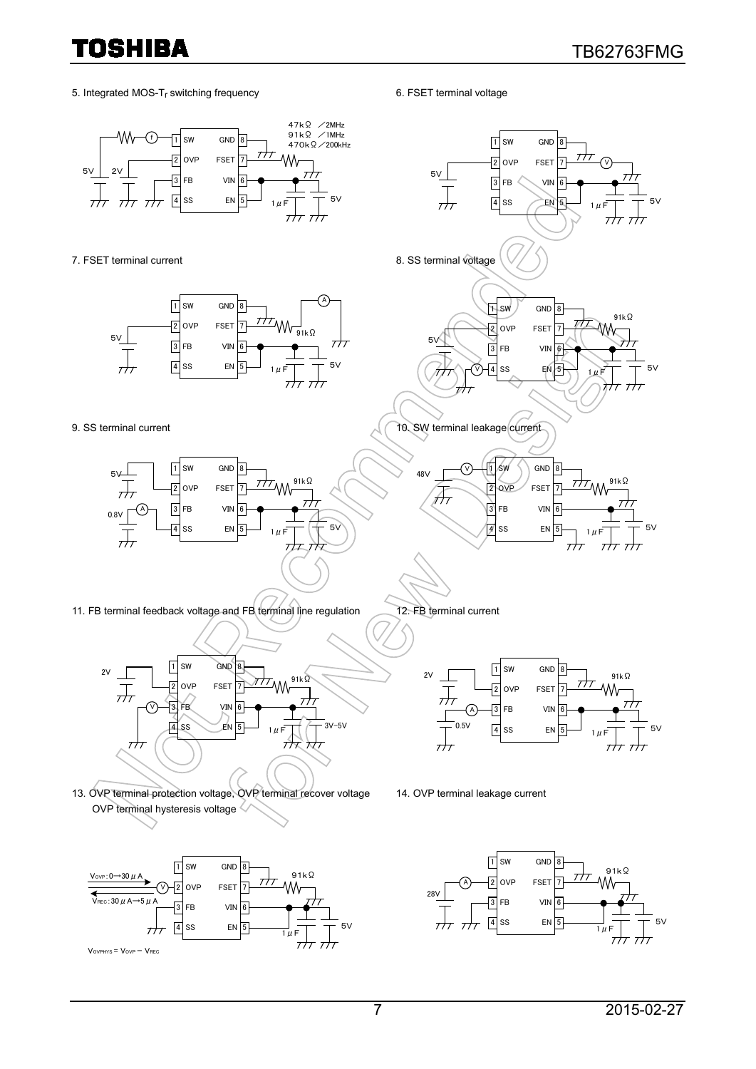5. Integrated MOS-T<sub>r</sub> switching frequency 6. FSET terminal voltage



 $1 \mu F$ 

Vovphys = Vovp - VREC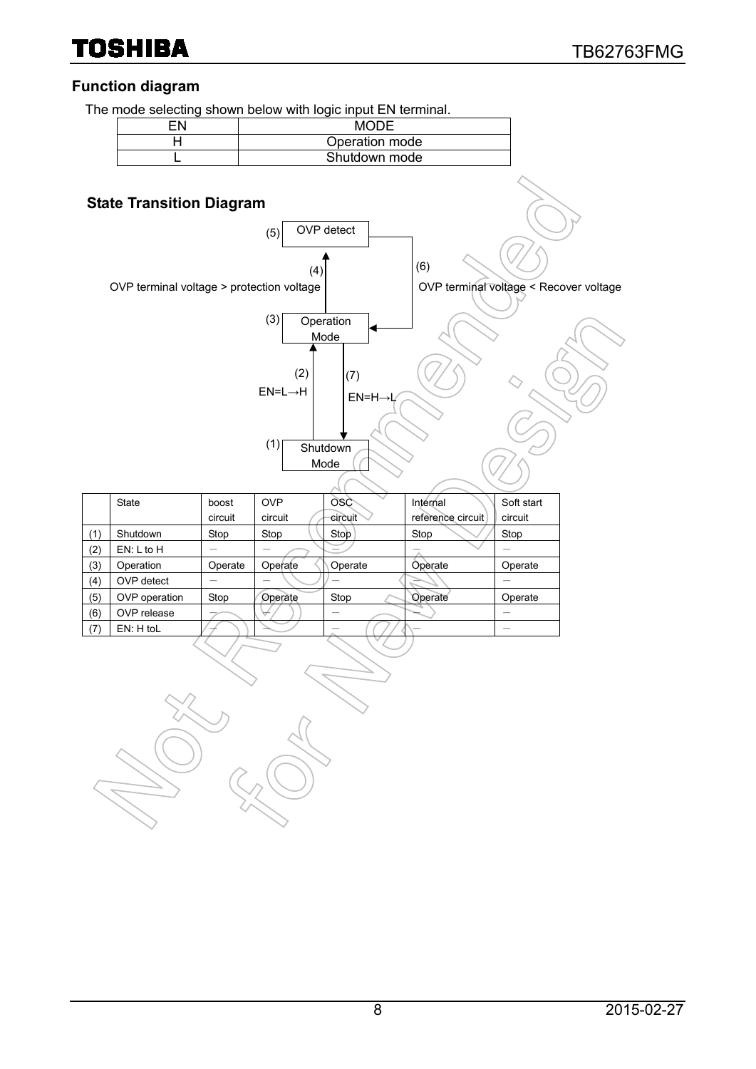### **Function diagram**

The mode selecting shown below with logic input FN terminal

|     |                                           |         |                                   | The mode selecting shown below with logic lifput EN terminal. |                   |                                        |
|-----|-------------------------------------------|---------|-----------------------------------|---------------------------------------------------------------|-------------------|----------------------------------------|
|     | EN                                        |         |                                   |                                                               |                   |                                        |
|     | Operation mode<br>Η                       |         |                                   |                                                               |                   |                                        |
|     | L                                         |         |                                   | Shutdown mode                                                 |                   |                                        |
|     | <b>State Transition Diagram</b>           |         | (5)                               | OVP detect                                                    |                   |                                        |
|     | OVP terminal voltage > protection voltage |         | (4)<br>(3)                        | Operation                                                     | (6)               | OVP terminal voltage < Recover voltage |
|     |                                           |         | (2)<br>$EN=L\rightarrow H$<br>(1) | Mode<br>(7)<br>$EN=H\rightarrow L$<br>Shutdown<br>Mode        |                   |                                        |
|     | State                                     | boost   | <b>OVP</b>                        | OSC                                                           | Internal          | Soft start                             |
|     |                                           | circuit | circuit                           | circuit                                                       | reference circuit | circuit                                |
| (1) | Shutdown                                  | Stop    | Stop                              | Stop                                                          | Stop              | Stop                                   |
| (2) | EN: L to H                                |         |                                   |                                                               |                   |                                        |
| (3) | Operation                                 | Operate | Operate                           | Operate                                                       | Operate           | Operate                                |
| (4) | OVP detect                                |         |                                   |                                                               |                   |                                        |
| (5) | OVP operation                             | Stop    | Operate                           | Stop                                                          | Operate           | Operate                                |
| (6) | OVP release                               |         |                                   |                                                               |                   |                                        |
| (7) | EN: H toL                                 |         |                                   |                                                               |                   | $\overline{\phantom{0}}$               |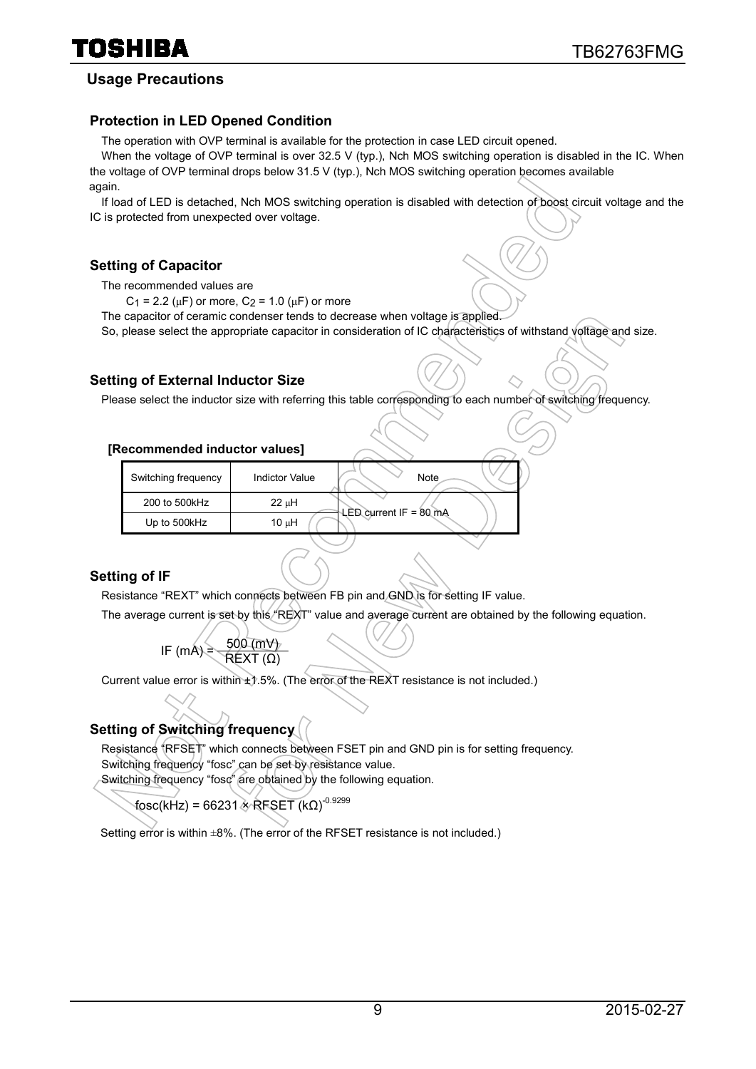#### **Usage Precautions**

#### **Protection in LED Opened Condition**

The operation with OVP terminal is available for the protection in case LED circuit opened.

When the voltage of OVP terminal is over 32.5 V (typ.), Nch MOS switching operation is disabled in the IC. When the voltage of OVP terminal drops below 31.5 V (typ.), Nch MOS switching operation becomes available again.

If load of LED is detached, Nch MOS switching operation is disabled with detection of boost circuit voltage and the IC is protected from unexpected over voltage.

#### **Setting of Capacitor**

The recommended values are

 $C_1$  = 2.2 ( $\mu$ F) or more,  $C_2$  = 1.0 ( $\mu$ F) or more

The capacitor of ceramic condenser tends to decrease when voltage is applied.

So, please select the appropriate capacitor in consideration of IC characteristics of withstand voltage and size.

#### **Setting of External Inductor Size**

Please select the inductor size with referring this table corresponding to each number of switching frequency.

#### **[Recommended inductor values]**

| Switching frequency | <b>Indictor Value</b> | Note                     |
|---------------------|-----------------------|--------------------------|
| 200 to 500kHz       | 22 µH                 | $LED$ current IF = 80 mA |
| Up to 500kHz        | $10 \mu H$            |                          |

#### **Setting of IF**

Resistance "REXT" which connects between FB pin and GND is for setting IF value.

The average current is set by this "REXT" value and average current are obtained by the following equation.

IF (mA) = 
$$
\frac{500 \text{ (mV)}}{REXT \text{ (Ω)}}
$$

Current value error is within ±1.5%. (The error of the REXT resistance is not included.)

#### **Setting of Switching frequency**

Resistance "RFSET" which connects between FSET pin and GND pin is for setting frequency. Switching frequency "fosc" can be set by resistance value. Switching frequency "fosc" are obtained by the following equation.

 $\mathsf{fosc}(\mathsf{kHz})$  = 66231  $\times$  RFSET (kΩ) $^{-0.9299}$ 

Setting error is within  $\pm 8\%$ . (The error of the RFSET resistance is not included.)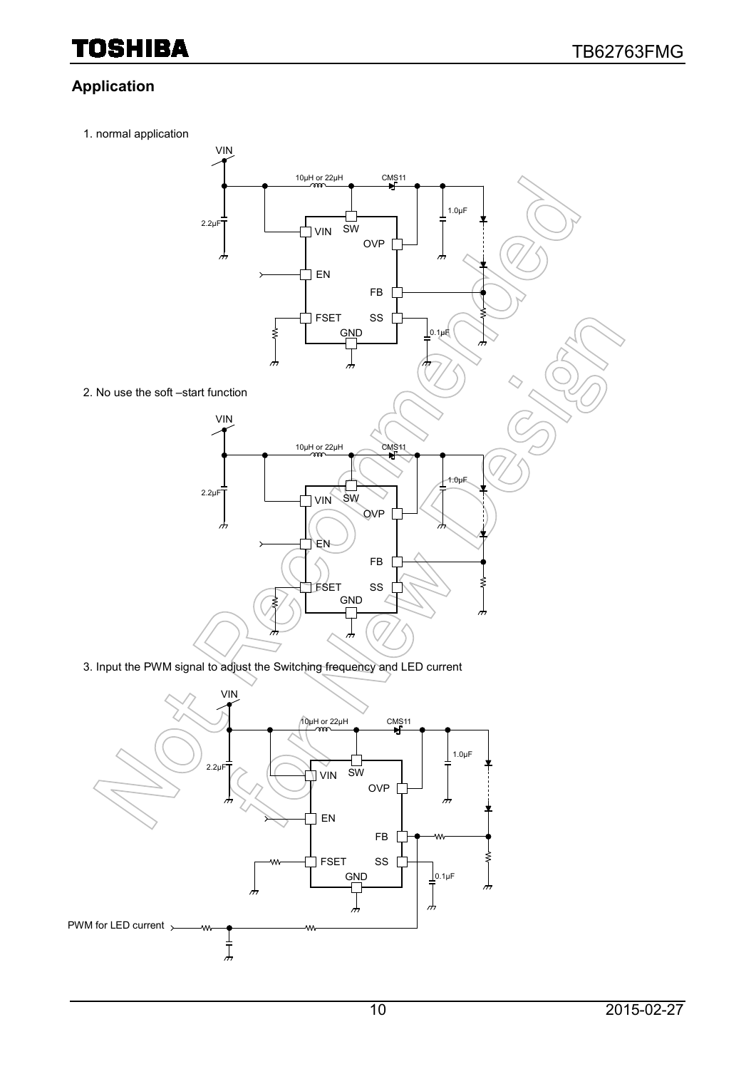#### **Application**

1. normal application



3. Input the PWM signal to adjust the Switching frequency and LED current

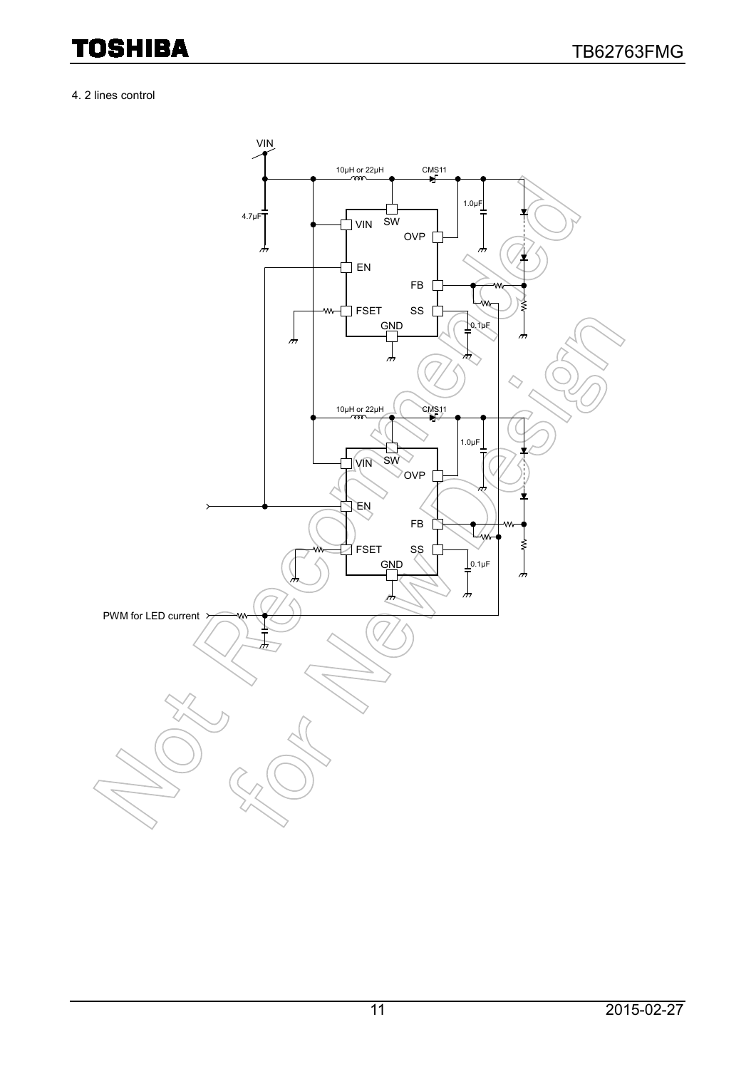#### 4. 2 lines control

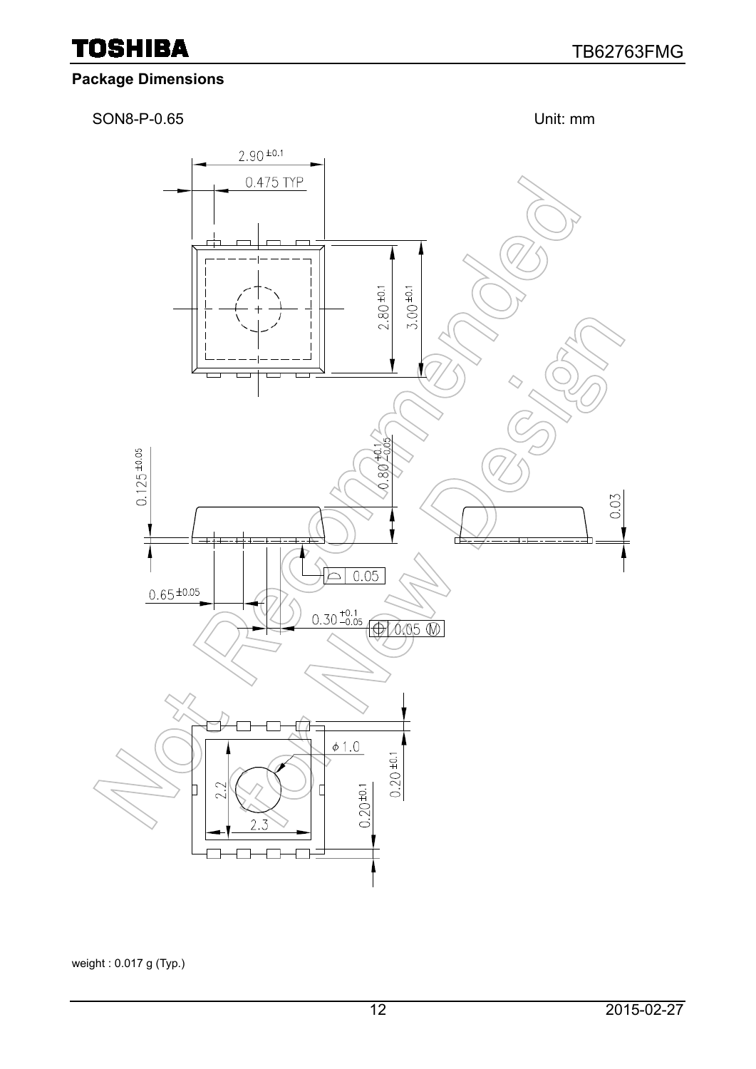#### **Package Dimensions**

SON8-P-0.65 Unit: mm



weight : 0.017 g (Typ.)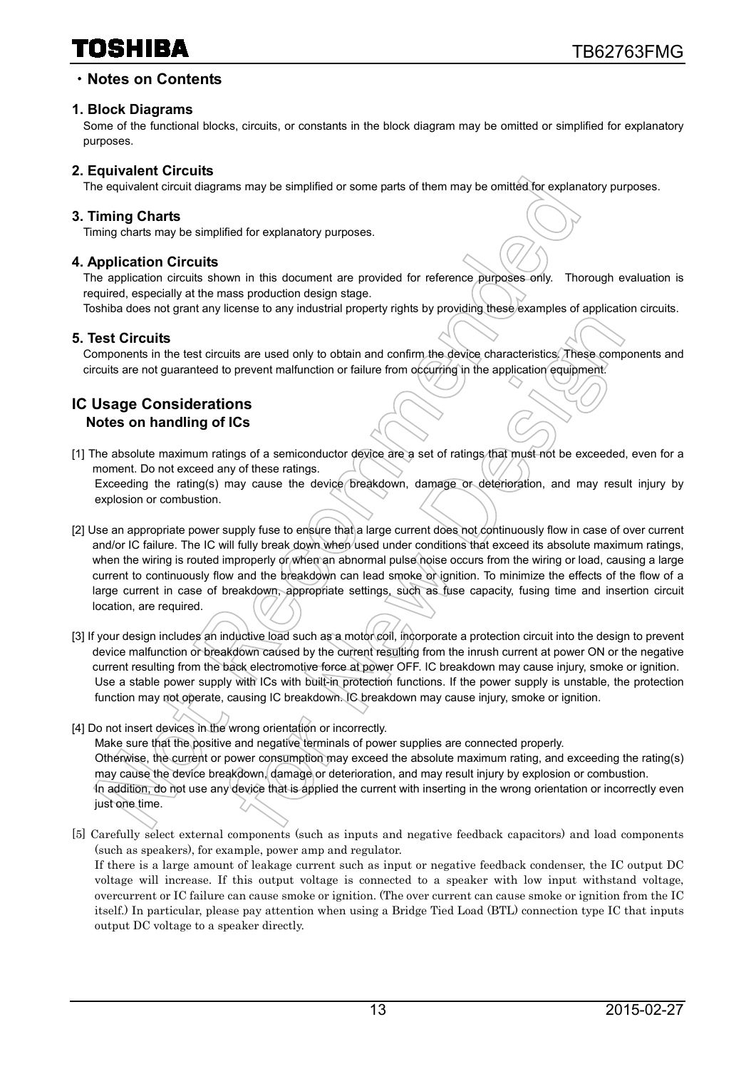### 10SHIBA

#### ・**Notes on Contents**

#### **1. Block Diagrams**

Some of the functional blocks, circuits, or constants in the block diagram may be omitted or simplified for explanatory purposes.

#### **2. Equivalent Circuits**

The equivalent circuit diagrams may be simplified or some parts of them may be omitted for explanatory purposes.

#### **3. Timing Charts**

Timing charts may be simplified for explanatory purposes.

#### **4. Application Circuits**

The application circuits shown in this document are provided for reference purposes only. Thorough evaluation is required, especially at the mass production design stage.

Toshiba does not grant any license to any industrial property rights by providing these examples of application circuits.

#### **5. Test Circuits**

Components in the test circuits are used only to obtain and confirm the device characteristics. These components and circuits are not guaranteed to prevent malfunction or failure from occurring in the application equipment.

#### **IC Usage Considerations Notes on handling of ICs**

- [1] The absolute maximum ratings of a semiconductor device are a set of ratings that must not be exceeded, even for a moment. Do not exceed any of these ratings. Exceeding the rating(s) may cause the device breakdown, damage or deterioration, and may result injury by explosion or combustion.
- [2] Use an appropriate power supply fuse to ensure that a large current does not continuously flow in case of over current and/or IC failure. The IC will fully break down when used under conditions that exceed its absolute maximum ratings, when the wiring is routed improperly or when an abnormal pulse noise occurs from the wiring or load, causing a large current to continuously flow and the breakdown can lead smoke or ignition. To minimize the effects of the flow of a large current in case of breakdown, appropriate settings, such as fuse capacity, fusing time and insertion circuit location, are required.
- [3] If your design includes an inductive load such as a motor coil, incorporate a protection circuit into the design to prevent device malfunction or breakdown caused by the current resulting from the inrush current at power ON or the negative current resulting from the back electromotive force at power OFF. IC breakdown may cause injury, smoke or ignition. Use a stable power supply with ICs with built-in protection functions. If the power supply is unstable, the protection function may not operate, causing IC breakdown. IC breakdown may cause injury, smoke or ignition.
- [4] Do not insert devices in the wrong orientation or incorrectly.

Make sure that the positive and negative terminals of power supplies are connected properly. Otherwise, the current or power consumption may exceed the absolute maximum rating, and exceeding the rating(s) may cause the device breakdown, damage or deterioration, and may result injury by explosion or combustion. In addition, do not use any device that is applied the current with inserting in the wrong orientation or incorrectly even just one time.

[5] Carefully select external components (such as inputs and negative feedback capacitors) and load components (such as speakers), for example, power amp and regulator.

If there is a large amount of leakage current such as input or negative feedback condenser, the IC output DC voltage will increase. If this output voltage is connected to a speaker with low input withstand voltage, overcurrent or IC failure can cause smoke or ignition. (The over current can cause smoke or ignition from the IC itself.) In particular, please pay attention when using a Bridge Tied Load (BTL) connection type IC that inputs output DC voltage to a speaker directly.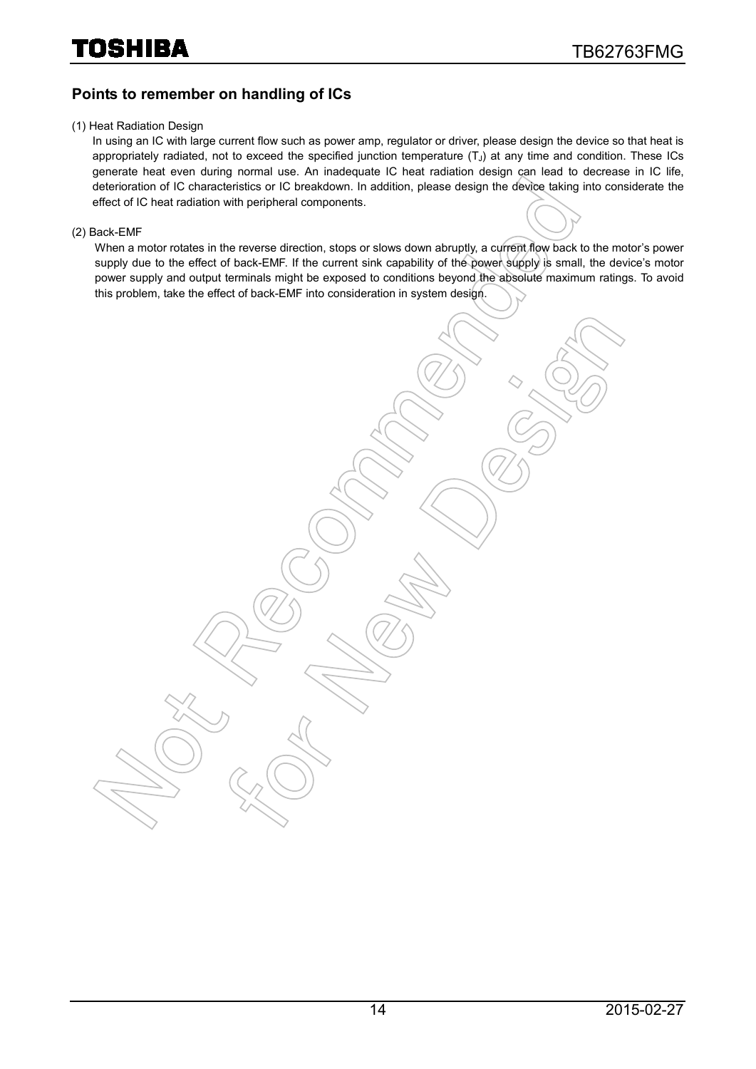#### **Points to remember on handling of ICs**

#### (1) Heat Radiation Design

In using an IC with large current flow such as power amp, regulator or driver, please design the device so that heat is appropriately radiated, not to exceed the specified junction temperature  $(T<sub>J</sub>)$  at any time and condition. These ICs generate heat even during normal use. An inadequate IC heat radiation design can lead to decrease in IC life, deterioration of IC characteristics or IC breakdown. In addition, please design the device taking into considerate the effect of IC heat radiation with peripheral components.

(2) Back-EMF

When a motor rotates in the reverse direction, stops or slows down abruptly, a current flow back to the motor's power supply due to the effect of back-EMF. If the current sink capability of the power supply is small, the device's motor power supply and output terminals might be exposed to conditions beyond the absolute maximum ratings. To avoid this problem, take the effect of back-EMF into consideration in system design.